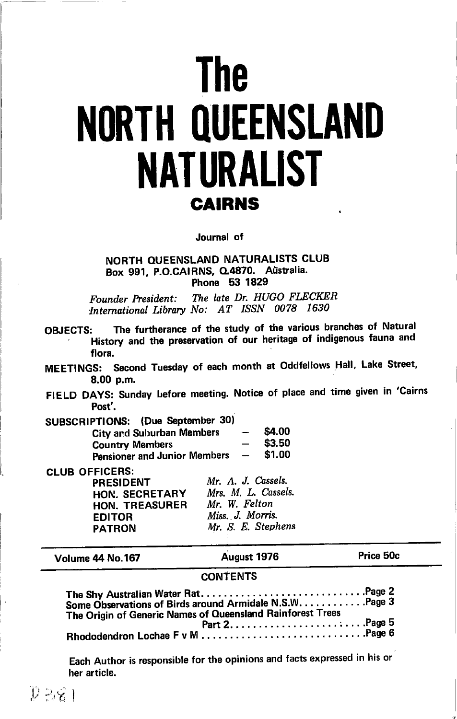# **The NORTH QUEENSLAND NATURALIST CAIRNS**

Journal of

## NORTH QUEENSLAND NATURALISTS CLUB Box 991, P.O.CAIRNS, Q.4870. Aŭstralia. Phone 53 1829

The late Dr. HUGO FLECKER Founder President: International Library No: AT ISSN 0078 1630

| <b>OBJECTS:</b> | History and the preservation of our heritage of indigenous fauna and | The furtherance of the study of the various branches of Natural |  |  |  |
|-----------------|----------------------------------------------------------------------|-----------------------------------------------------------------|--|--|--|
|                 | flora.                                                               |                                                                 |  |  |  |

MEETINGS: Second Tuesday of each month at Oddfellows Hall, Lake Street, 8.00 p.m.

FIELD DAYS: Sunday before meeting. Notice of place and time given in 'Cairns Post'.

| SUBSCRIPTIONS: (Due September 30)   |                          |        |
|-------------------------------------|--------------------------|--------|
| City and Suburban Members           | $\overline{\phantom{m}}$ | \$4.00 |
| <b>Country Members</b>              |                          | \$3.50 |
| <b>Pensioner and Junior Members</b> | $\overline{\phantom{a}}$ | \$1.00 |

**CLUB OFFICERS:** 

**PRESIDENT** HON. SECRETARY **HON. TREASURER EDITOR PATRON** 

Mr. A. J. Cassels. Mrs. M. L. Cassels. Mr. W. Felton Miss. J. Morris. Mr. S. E. Stephens

Volume 44 No.167

August 1976

Price 50c

## **CONTENTS**

| Some Observations of Birds around Armidale N.S.W. Page 3   |  |
|------------------------------------------------------------|--|
| The Origin of Generic Names of Queensland Rainforest Trees |  |
|                                                            |  |
|                                                            |  |

Each Author is responsible for the opinions and facts expressed in his or her article.

 $D-86$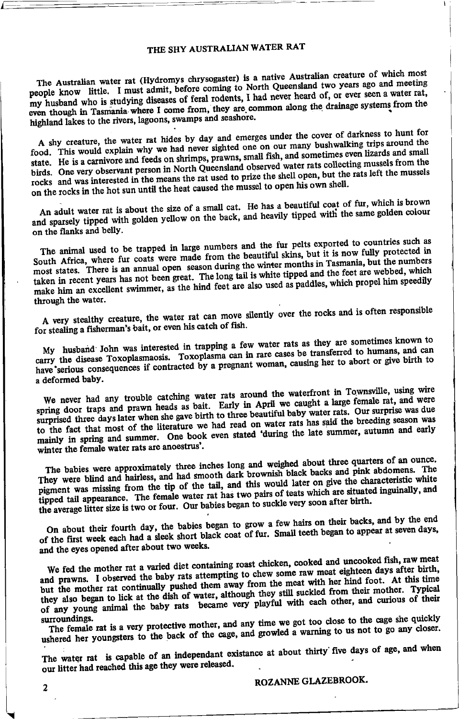## THE SHY AUSTRALIAN WATER RAT

The Australian water rat (Hydromys chrysogaster) is a native Australian creature of which most people know little. I must admit, before coming to North Queensland two years ago and meeting my husband who is studying diseases of feral rodents, I had never heard of, or ever seen a water rat, even though in Tasmania where I come from, they are common along the drainage systems from the highland lakes to the rivers, lagoons, swamps and seashore.

A shy creature, the water rat hides by day and emerges under the cover of darkness to hunt for food. This would explain why we had never sighted one on our many bushwalking trips around the state. He is a carnivore and feeds on shrimps, prawns, small fish, and sometimes even lizards and small birds. One very observant person in North Queensland observed water rats collecting mussels from the rocks and was interested in the means the rat used to prize the shell open, but the rats left the mussels on the rocks in the hot sun until the heat caused the mussel to open his own shell.

An adult water rat is about the size of a small cat. He has a beautiful coat of fur, which is brown and sparsely tipped with golden yellow on the back, and heavily tipped with the same golden colour on the flanks and belly.

The animal used to be trapped in large numbers and the fur pelts exported to countries such as South Africa, where fur coats were made from the beautiful skins, but it is now fully protected in most states. There is an annual open season during the winter months in Tasmania, but the numbers taken in recent years has not been great. The long tail is white tipped and the feet are webbed, which make him an excellent swimmer, as the hind feet are also used as paddles, which propel him speedily through the water.

A very stealthy creature, the water rat can move silently over the rocks and is often responsible for stealing a fisherman's bait, or even his catch of fish.

My husband John was interested in trapping a few water rats as they are sometimes known to carry the disease Toxoplasmaosis. Toxoplasma can in rare cases be transferred to humans, and can have serious consequences if contracted by a pregnant woman, causing her to abort or give birth to a deformed baby.

We never had any trouble catching water rats around the waterfront in Townsville, using wire spring door traps and prawn heads as bait. Early in April we caught a large female rat, and were surprised three days later when she gave birth to three beautiful baby water rats. Our surprise was due to the fact that most of the literature we had read on water rats has said the breeding season was mainly in spring and summer. One book even stated 'during the late summer, autumn and early winter the female water rats are anoestrus'.

The babies were approximately three inches long and weighed about three quarters of an ounce. They were blind and hairless, and had smooth dark brownish black backs and pink abdomens. The pigment was missing from the tip of the tail, and this would later on give the characteristic white tipped tail appearance. The female water rat has two pairs of teats which are situated inguinally, and the average litter size is two or four. Our babies began to suckle very soon after birth.

On about their fourth day, the babies began to grow a few hairs on their backs, and by the end of the first week each had a sleek short black coat of fur. Small teeth began to appear at seven days, and the eyes opened after about two weeks.

We fed the mother rat a varied diet containing roast chicken, cooked and uncooked fish, raw meat and prawns. I observed the baby rats attempting to chew some raw meat eighteen days after birth, but the mother rat continually pushed them away from the meat with her hind foot. At this time they also began to lick at the dish of water, although they still suckled from their mother. Typical of any young animal the baby rats became very playful with each other, and curious of their surroundings.

The female rat is a very protective mother, and any time we got too close to the cage she quickly ushered her youngsters to the back of the cage, and growled a warning to us not to go any closer.

The water rat is capable of an independant existance at about thirty five days of age, and when our litter had reached this age they were released.

ROZANNE GLAZEBROOK.

 $\overline{c}$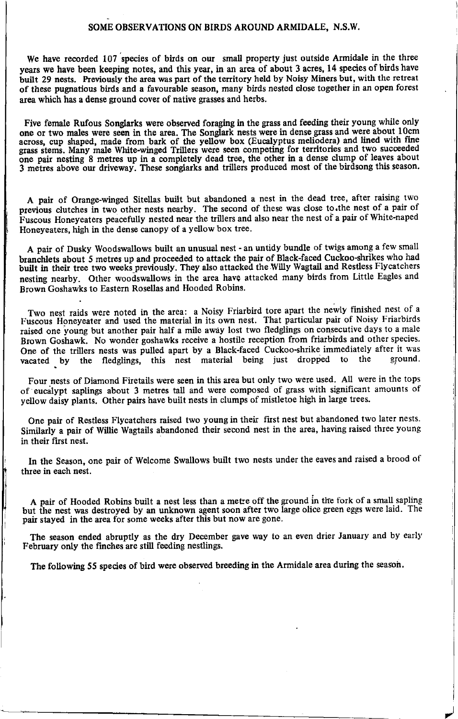### SOME OBSERVATIONS ON BIRDS AROUND ARMIDALE, N.S.W.

We have recorded 107 species of birds on our small property just outside Armidale in the three years we have been keeping notes, and this year, in an area of about 3 acres, 14 species of birds have built 29 nests. Previously the area was part of the territory held by Noisy Miners but, with the retreat of these pugnatious birds and a favourable season, many birds nested close together in an open forest area which has a dense ground cover of native grasses and herbs.

Five female Rufous Songlarks were observed foraging in the grass and feeding their young while only one or two males were seen in the area. The Songlark nests were in dense grass and were about 10cm across, cup shaped, made from bark of the yellow box (Eucalyptus meliodera) and lined with fine<br>grass stems. Many male White-winged Trillers were seen competing for territories and two succeeded one pair nesting 8 metres up in a completely dead tree, the other in a dense clump of leaves about 3 metres above our driveway. These songlarks and trillers produced most of the birdsong this season.

A pair of Orange-winged Sitellas built but abandoned a nest in the dead tree, aftet raising two previous clutches in two other nests nearby. The second of these was close to the nest of a pair of Fuscous Honeyeaters peacefully nested near the trillers and also near the nest of a pair of White-naped Honeyeaters, high in the dense canopy of a yellow box tree.

A pair of Dusky lYoodswallows built an unusual nest - an untidy bundle of twigs among a few small branchlets about 5 metres up and proceeded to attack the pair of Black-faced Cuckoo-shrikes who had built in their tree two weeki previbusly. They also attacked the Willy Wagtail and Restless Flycatchers nesting nearby. Other woodswallows in the area have attacked many birds from Little Eagles and Brown Goshawks to Eastem Rosellas and Hooded Robins.

Two nest raids were noted in the area: a Noisy Friarbird tore apart the newly finished nest of a Two nest raius were noted in the area. a Roley Friarbird core apart in the material pair of Noisy Friarbirds raised one young but another pair half a mile awiy lost two fledglings on consecutive days to a male Brown Goshawk. No wonder goshawks receive a hostile reception from friarbirds and other species. One of the trillers nests was pulled apart by a Black-faced Cuckoo-shrike immediately after it was vacated by the fledglings this nest material heing just dropped to the ground. vacated by the fledglings, this nest material being just dropped to the ground

Four nests of Diamond Firetails were seen in this area but only two were used. All were in the tops of eucalypt saplings about 3 metres tall and were composed of grass with significant amounts of yellow daisy plants. Other pairs have built nests in clumps of mistletoe high in large trees.

One pair of Restless Flycatchers raised two young in their first nest but abandoned two later nests. Similarly a pair of Willie Wagtails abandoned their second nest in the area, having raised three young in their first nest.

In the Season, one pair of Welcome Swallows built two nests under the eaves and raised a brood of three in each nest.

A pair of Hooded Robins built a nest less than a metre off the ground in the fork of a small sapling but the nest was destroyed by an unknown agent soon after two large olice green eggs were laid. The pair stayed in the area for some weeks after this but now are gone.

The season ended abruptly as the dry December gave way to an even drier January and by early February only the finches are still feeding nestlings.

/

The following 55 species of bird were observed breeding in the Armidale area during the season.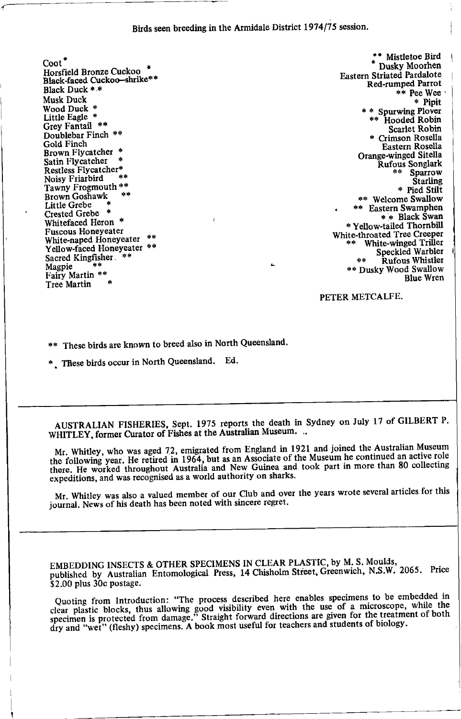Birds seen breeding in the Armidale District 1974/75 session.

 $\text{Cont}^*$ Horsfield Bronze Cuckoo Black-faced Cuckoo-shrike\*\* Rlack Duck \* \* Musk Duck Wood Duck  $*$ Little Eagle \* Grey Fantail \*\* Doublebar Finch \*\* Gold Finch Brown Flycatcher \* Satin Flycatcher Restless Flycatcher\* Noisy Friarbird Tawny Frogmouth \*\* Brown Goshawk ن<br>وفي Little Grebe Crested Grebe \* Whitefaced Heron \* Fuscous Honeyeater White-naped Honeyeater Yellow-faced Honeyeater \*\* Sacred Kingfisher Magpie Fairy Martin \*\* Tree Martin

\*\* Mistletoe Bird Dusky Moorhen **Fastern Striated Pardalote** Red-rumped Parrot \*\* Pee Wee  $*$  Pipit \* \* Spurwing Plover \*\* Hooded Robin Scarlet Robin \* Crimson Rosella Eastern Rosella Orange-winged Sitella Rufous Songlark \*\* Sparrow **Starling** \* Pied Stilt \*\* Welcome Swallow \*\* Eastern Swamphen \* \* Black Swan \* Yellow-tailed Thornbill White-throated Tree Creeper White-winged Triller Speckled Warbler \*\* Rufous Whistler<br>\*\* Dusky Wood Swallow **Rlue Wren** 

PETER METCALFE.

\*\* These birds are known to breed also in North Oueensland.

\* These birds occur in North Queensland. Ed.

AUSTRALIAN FISHERIES, Sept. 1975 reports the death in Sydney on July 17 of GILBERT P. WHITLEY, former Curator of Fishes at the Australian Museum. ..

Mr. Whitley, who was aged 72, emigrated from England in 1921 and joined the Australian Museum the following year. He retired in 1964, but as an Associate of the Museum he continued an active role there. He worked throughout Australia and New Guinea and took part in more than 80 collecting expeditions, and was recognised as a world authority on sharks.

Mr. Whitley was also a valued member of our Club and over the years wrote several articles for this journal. News of his death has been noted with sincere regret.

EMBEDDING INSECTS & OTHER SPECIMENS IN CLEAR PLASTIC, by M. S. Moulds, published by Australian Entomological Press, 14 Chisholm Street, Greenwich, N.S.W. 2065. Price \$2.00 plus 30c postage.

Quoting from Introduction: "The process described here enables specimens to be embedded in clear plastic blocks, thus allowing good visibility even with the use of a microscope, while the specimen is protected from damage." Straight forward directions are given for the treatment of both dry and "wet" (fleshy) specimens. A book most useful for teachers and students of biology.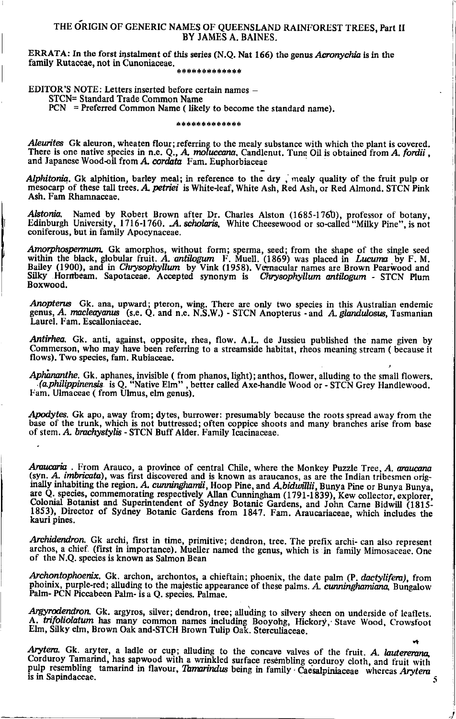## THE ORIGIN OF GENERIC NAMES OF QUEENSLAND RAINFOREST TREES, Part II BY JAMES A. BAINES.

ERRATA: In the forst instalment of this series (N.Q. Nat 166) the genus Acronychia is in the family Rutaceae, not in Cunoniaceae. \*\*\*\*\*\*\*\*\*\*\*\*\*

EDITOR'S NOTE: Letters inserted before certain names -

STCN= Standard Trade Common Name

 $PCN =$  Preferred Common Name (likely to become the standard name).

#### \*\*\*\*\*\*\*\*\*\*\*\*\*

Aleurites Gk aleuron, wheaten flour; referring to the mealy substance with which the plant is covered. There is one native species in n.e. Q., A. moluccana, Candlenut. Tung Oil is obtained from A. fordii, and Japanese Wood-oil from A. cordata Fam. Euphorbiaceae

Alphitonia. Gk alphition, barley meal; in reference to the dry, mealy quality of the fruit pulp or mesocarp of these tall trees. A. petriet is White-leaf, White Ash, Red Ash, or Red Almond, STCN Pink Ash. Fam Rhamnaceae.

Alstonia. Named by Robert Brown after Dr. Charles Alston (1685-1760), professor of botany, Edinburgh University, 1716-1760. A. scholaris, White Cheesewood or so-called "Milky Pine", is not coniferous, but in family Apocynaceae.

Amorphospermum. Gk amorphos, without form; sperma, seed; from the shape of the single seed within the black, globular fruit. A. antilogum F. Muell. (1869) was placed in Lucuma by F. M. Bailey (1900), and in Chrysophyllum b Boxwood.

Anopterus Gk. ana, upward; pteron, wing. There are only two species in this Australian endemic genus, A. macleayanus (s.e. Q. and n.e. N.S.W.) - STCN Anopterus - and A. glandulosus, Tasmanian Laurel. Fam. Escalloniaceae.

Antirhea. Gk. anti, against, opposite, rhea, flow. A.L. de Jussieu published the name given by Commerson, who may have been referring to a streamside habitat, rheos meaning stream (because it flows). Two species, fam. Rubiaceae.

Aphananthe, Gk. aphanes, invisible (from phanos, light); anthos, flower, alluding to the small flowers. (a philippinensis is Q. "Native Elm", better called Axe-handle Wood or - STCN Grey Handlewood. Fam. Ulmaceae (from Ulmus, elm genus).

Apodytes. Gk apo, away from; dytes, burrower: presumably because the roots spread away from the base of the trunk, which is not buttressed; often coppice shoots and many branches arise from base of stem. A. brachystylis - STCN Buff Alder. Family Icacinaceae.

Araucaria. From Arauco, a province of central Chile, where the Monkey Puzzle Tree, A. araucana (syn. A. imbricata), was first discovered and is known as araucanos, as are the Indian tribesmen orig-(syn. A. *the tendent different and as a mown as a acteurate space in the individually inhabiting the region. A. cummighamii, Hoop Pine, and Abduvilli, Bunya Pine or Bunya Bunya, Review are Q. species, commemorating respec* kauri pines.

Archidendron. Gk archi, first in time, primitive; dendron, tree. The prefix archi- can also represent archos, a chief. (first in importance). Mueller named the genus, which is in family Mimosaceae. One of the N.Q. species is known as Salmon Bean

Archontophoenix. Gk. archon, archontos, a chieftain; phoenix, the date palm (P. dactylifera), from phoinix, purple-red; alluding to the majestic appearance of these palms. A. cumninghamiana, Bungalow Palm- PCN Piccabeen Palm- is a Q. species. Palmae.

Argyrodendron. Gk. argyros, silver; dendron, tree; alluding to silvery sheen on underside of leaflets. A. trifoliolatum has many common names including Booyong, Hickory, Stave Wood, Crowsfoot Elm, Silky elm, Brown Oak and-STCH Brown Tulip Oak. Sterculiaceae.

Arytera. Gk. aryter, a ladle or cup; alluding to the concave valves of the fruit. A. lautererana, Corduroy Tamarind, has sapwood with a wrinkled surface resembling corduroy cloth, and fruit with pulp resembling tamarind in flavour, Tamarindus being in family Caesalpiniaceae whereas Arytera is in Sapindaceae.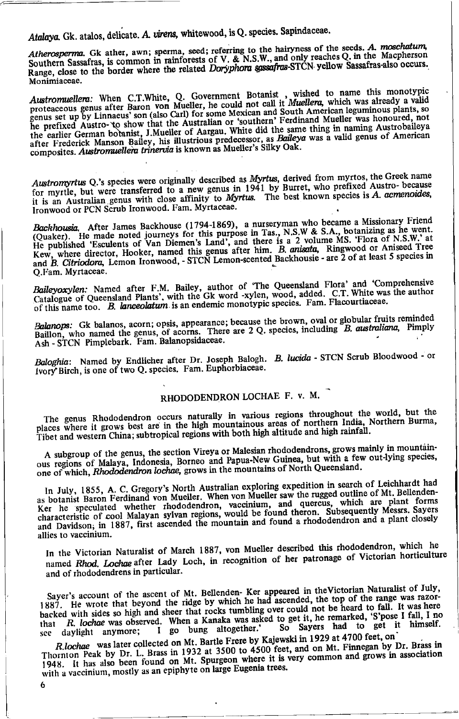Atalaya. Gk. atalos, delicate. A. virens, whitewood, is Q. species. Sapindaceae.

Atherosperma. Gk ather, awn; sperma, seed; referring to the hairyness of the seeds. A. moschatum, Southern Sassafras, is common in rainforests of V. & N.S.W., and only reaches Q. in the Macpherson Range, close to the border where the related Doryphora gassafras-STCN yellow Sassafras-also occurs. Monimiaceae.

Austromuellera: When C.T.White, Q. Government Botanist, wished to name this monotypic<br>proteaceous genus after Baron von Mueller, he could not call it Muellera, which was already a valid genus set up by Linnaeus' son (also Carl) for some Mexican and South American leguminous plants, so he prefixed Austro- to show that the Australian or 'southern' Ferdinand Mueller was honoured, not the earlier German botanist, J.Mueller of Aargau. White did the same thing in naming Austrobaileya after Frederick Manson Bailey, his illustrious predecessor, as Baileya was a valid genus of American composites. Austromuellem trinervia is known as Mueller's Silky Oak.

Austromyrtus Q.'s species were originally described as Myrtus, derived from myrtos, the Greek name for myrtle, but were transferred to a new genus in 1941 by Burret, who prefixed Austro-because it is an Australian genus with close affinity to Myrtus. The best known species is A. acmenoides, Ironwood or PCN Scrub Ironwood. Fam. Myrtaceae.

Backhousia. After James Backhouse (1794-1869), a nurseryman who became a Missionary Friend (Quaker). He made noted journeys for this purpose in Tas., N.S.W & S.A., botanizing as he went.<br>He published 'Esculents of Van Diemen's Land', and there is a 2 volume MS. 'Flora of N.S.W.' at Kew, where director, Hooker, named this genus after him. B. anisata, Ringwood or Aniseed Tree<br>and B. Citricolora, Lemon Ironwood, - STCN Lemon-scented Backhousie - are 2 of at least 5 species in Q.Fam. Myrtaceae.

Baileyoxylen: Named after F.M. Bailey, author of 'The Queensland Flora' and 'Comprehensive Catalogue of Queensland Plants', with the Gk word -xylen, wood, added. C.T. White was the author of this name too. B. lanceolatum is an endemic monotypic species. Fam. Flacourtiaceae.

Balanops: Gk balanos, acorn; opsis, appearance; because the brown, oval or globular fruits reminded Baillon, who named the genus, of acorns. There are 2 Q, species, including B, australiana, Pimply Ash - STCN Pimplebark. Fam. Balanopsidaceae.

Baloghia: Named by Endlicher after Dr. Joseph Balogh. B. lucida - STCN Scrub Bloodwood - or Ivory Birch, is one of two Q. species. Fam. Euphorbiaceae.

## RHODODENDRON LOCHAE F. v. M.

The genus Rhododendron occurs naturally in various regions throughout the world, but the places where it grows best are in the high mountainous areas of northern India, Northern Burma, Tibet and western China; subtropical regions with both high altitude and high rainfall.

A subgroup of the genus, the section Vireya or Malesian rhododendrons, grows mainly in mountainous regions of Malaya, Indonesia, Borneo and Papua-New Guinea, but with a few out-lying species, one of which, Rhododendron lochae, grows in the mountains of North Queensland.

In July, 1855, A. C. Gregory's North Australian exploring expedition in search of Leichhardt had as botanist Baron Ferdinand von Mueller. When von Mueller saw the rugged outline of Mt. Bellenden-Ker he speculated whether rhododendron, vaccinium, and quercus, which are plant forms characteristic of cool Malayan sylvan regions, would be found theron. Subsequently Messrs. Sayers and Davidson, in 1887, first ascended the mountain and found a rhododendron and a plant closely allies to vaccinium.

In the Victorian Naturalist of March 1887, von Mueller described this rhododendron, which he named Rhod. Lochae after Lady Loch, in recognition of her patronage of Victorian horticulture and of rhododendrens in particular.

Sayer's account of the ascent of Mt. Bellenden- Ker appeared in the Victorian Naturalist of July, 1887. He wrote that beyond the ridge by which he had ascended, the top of the range was razorbacked with sides so high and sheer that rocks tumbling over could not be heard to fall. It was here R. lochae was observed. When a Kanaka was asked to get it, he remarked, 'S'pose I fall, I no So Sayers had to get it himself. that bung altogether.' daylight anymore;  $I$  go see

R.lochae was later collected on Mt. Bartle Frere by Kajewski in 1929 at 4700 feet, on Thornton Peak by Dr. L. Brass in 1932 at 3500 to 4500 feet, and on Mt. Finnegan by Dr. Brass in 1948. It has also been found on Mt. Spurgeon where it is very common and grows in association with a vaccinium, mostly as an epiphyte on large Eugenia trees.

6